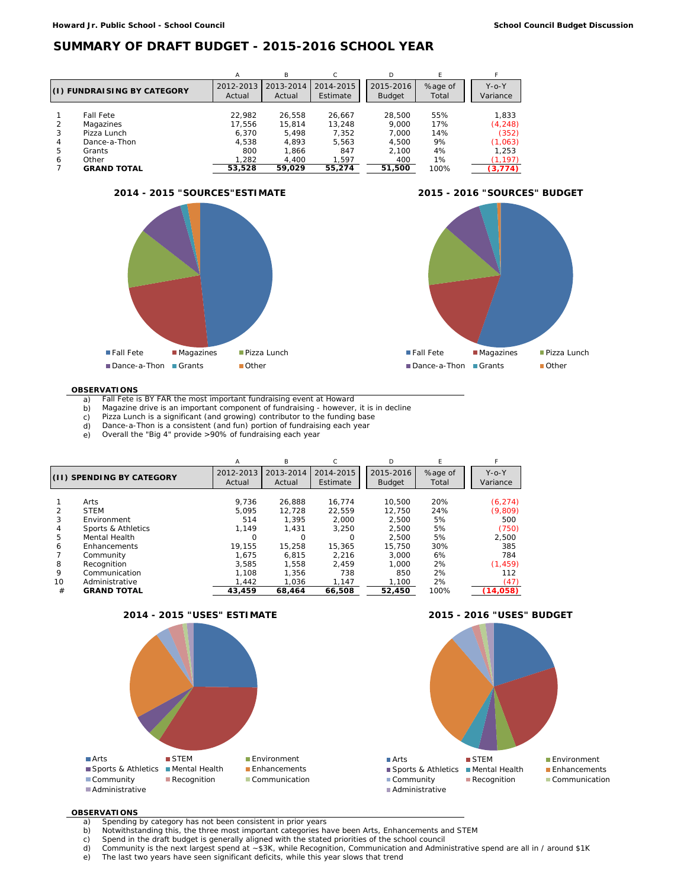### **SUMMARY OF DRAFT BUDGET - 2015-2016 SCHOOL YEAR**

|                             |                    | Α                   | B                   |                       | D                          |                  |                      |
|-----------------------------|--------------------|---------------------|---------------------|-----------------------|----------------------------|------------------|----------------------|
| (I) FUNDRAISING BY CATEGORY |                    | 2012-2013<br>Actual | 2013-2014<br>Actual | 2014-2015<br>Estimate | 2015-2016<br><b>Budget</b> | %age of<br>Total | $Y$ -O-Y<br>Variance |
|                             |                    |                     |                     |                       |                            |                  |                      |
|                             | <b>Fall Fete</b>   | 22.982              | 26.558              | 26,667                | 28.500                     | 55%              | 1.833                |
| 2                           | Magazines          | 17.556              | 15.814              | 13.248                | 9.000                      | 17%              | (4, 248)             |
| 3                           | Pizza Lunch        | 6.370               | 5.498               | 7.352                 | 7.000                      | 14%              | (352)                |
| 4                           | Dance-a-Thon       | 4.538               | 4.893               | 5.563                 | 4.500                      | 9%               | (1,063)              |
| 5                           | Grants             | 800                 | 1.866               | 847                   | 2.100                      | 4%               | 1.253                |
| 6                           | Other              | 1.282               | 4.400               | 1.597                 | 400                        | 1%               | (1, 197)             |
|                             | <b>GRAND TOTAL</b> | 53,528              | 59.029              | 55,274                | 51,500                     | 100%             | (3, 774)             |





### **OBSERVATIONS**

- a) Fall Fete is BY FAR the most important fundraising event at Howard b) Magazine drive is an important component of fundraising however
- Magazine drive is an important component of fundraising however, it is in decline
- c) Pizza Lunch is a significant (and growing) contributor to the funding base d) Dance-a-Thon is a consistent (and fun) portion of fundraising each year Dance-a-Thon is a consistent (and fun) portion of fundraising each year
- 
- e) Overall the "Big 4" provide >90% of fundraising each year

|                           |                                      | A                   | B                   |                       | D                          | E                |                         |
|---------------------------|--------------------------------------|---------------------|---------------------|-----------------------|----------------------------|------------------|-------------------------|
| (II) SPENDING BY CATEGORY |                                      | 2012-2013<br>Actual | 2013-2014<br>Actual | 2014-2015<br>Estimate | 2015-2016<br><b>Budget</b> | %age of<br>Total | $Y$ -o- $Y$<br>Variance |
| $\overline{2}$            | Arts<br><b>STEM</b>                  | 9.736<br>5.095      | 26.888<br>12.728    | 16.774<br>22.559      | 10.500<br>12.750           | 20%<br>24%       | (6, 274)                |
| 3                         | Environment                          | 514                 | 1.395               | 2.000                 | 2.500                      | 5%               | (9,809)<br>500          |
| 4<br>5                    | Sports & Athletics<br>Mental Health  | 1.149<br>Ω          | 1.431               | 3.250<br>O            | 2.500<br>2.500             | 5%<br>5%         | (750)<br>2,500          |
| 6                         | Enhancements<br>Community            | 19.155<br>1.675     | 15.258<br>6.815     | 15,365<br>2.216       | 15,750<br>3.000            | 30%<br>6%        | 385<br>784              |
| 8<br>9                    | Recognition<br>Communication         | 3.585<br>1.108      | 1.558<br>1.356      | 2.459<br>738          | 1.000<br>850               | 2%<br>2%         | (1, 459)<br>112         |
| 10<br>#                   | Administrative<br><b>GRAND TOTAL</b> | 1.442<br>43,459     | 1.036<br>68,464     | 1.147<br>66,508       | 1.100<br>52,450            | 2%<br>100%       | (47)<br>(14, 058)       |







### **OBSERVATIONS**

- a) Spending by category has not been consistent in prior years<br>b) Notwithstanding this, the three most important categories has
- b) Notwithstanding this, the three most important categories have been Arts, Enhancements and STEM
- c) Spend in the draft budget is generally aligned with the stated priorities of the school council d) Community is the next largest spend at  $\sim$  \$3K, while Recognition, Communication and Admir
- d) Community is the next largest spend at ~\$3K, while Recognition, Communication and Administrative spend are all in / around \$1K e) The last two years have seen significant deficits, while this year slows that trend
-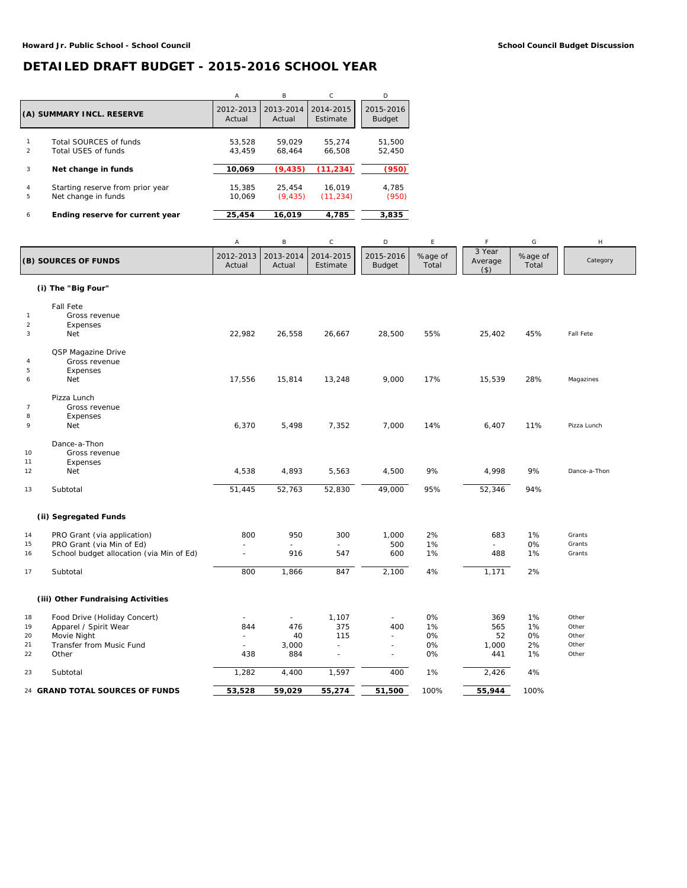## **DETAILED DRAFT BUDGET - 2015-2016 SCHOOL YEAR**

|                           |                                  | A         | B         | C         | D             |
|---------------------------|----------------------------------|-----------|-----------|-----------|---------------|
| (A) SUMMARY INCL. RESERVE |                                  | 2012-2013 | 2013-2014 | 2014-2015 | 2015-2016     |
|                           |                                  | Actual    | Actual    | Estimate  | <b>Budget</b> |
| $\mathfrak{p}$            | Total SOURCES of funds           | 53.528    | 59.029    | 55.274    | 51.500        |
|                           | Total USES of funds              | 43.459    | 68.464    | 66.508    | 52.450        |
| 3                         | Net change in funds              | 10,069    | (9, 435)  | (11, 234) | (950)         |
| 4                         | Starting reserve from prior year | 15,385    | 25.454    | 16.019    | 4.785         |
| 5                         | Net change in funds              | 10.069    | (9, 435)  | (11, 234) | (950)         |
| 6                         | Ending reserve for current year  | 25,454    | 16.019    | 4,785     | 3,835         |

|                  |                                          | A                   | B                   | $\mathsf C$           | D                          | E                | F                            | G                | H                |
|------------------|------------------------------------------|---------------------|---------------------|-----------------------|----------------------------|------------------|------------------------------|------------------|------------------|
|                  | (B) SOURCES OF FUNDS                     | 2012-2013<br>Actual | 2013-2014<br>Actual | 2014-2015<br>Estimate | 2015-2016<br><b>Budget</b> | %age of<br>Total | 3 Year<br>Average<br>$($ \$) | %age of<br>Total | Category         |
|                  | (i) The "Big Four"                       |                     |                     |                       |                            |                  |                              |                  |                  |
|                  | <b>Fall Fete</b>                         |                     |                     |                       |                            |                  |                              |                  |                  |
| $\mathbf{1}$     | Gross revenue                            |                     |                     |                       |                            |                  |                              |                  |                  |
| $\sqrt{2}$       | Expenses                                 |                     |                     |                       |                            |                  |                              |                  |                  |
| 3                | <b>Net</b>                               | 22,982              | 26,558              | 26,667                | 28,500                     | 55%              | 25,402                       | 45%              | <b>Fall Fete</b> |
|                  | QSP Magazine Drive                       |                     |                     |                       |                            |                  |                              |                  |                  |
| $\overline{4}$   | Gross revenue                            |                     |                     |                       |                            |                  |                              |                  |                  |
| $\sf 5$          | Expenses                                 |                     |                     |                       |                            |                  |                              |                  |                  |
| $\boldsymbol{6}$ | Net                                      | 17,556              | 15,814              | 13,248                | 9,000                      | 17%              | 15,539                       | 28%              | Magazines        |
|                  | Pizza Lunch                              |                     |                     |                       |                            |                  |                              |                  |                  |
| $\overline{7}$   | Gross revenue                            |                     |                     |                       |                            |                  |                              |                  |                  |
| 8                | Expenses                                 |                     |                     |                       |                            |                  |                              |                  |                  |
| 9                | Net                                      | 6,370               | 5,498               | 7,352                 | 7,000                      | 14%              | 6,407                        | 11%              | Pizza Lunch      |
|                  | Dance-a-Thon                             |                     |                     |                       |                            |                  |                              |                  |                  |
| 10               | Gross revenue                            |                     |                     |                       |                            |                  |                              |                  |                  |
| 11               | Expenses                                 |                     |                     |                       |                            |                  |                              |                  |                  |
| 12               | Net                                      | 4,538               | 4,893               | 5,563                 | 4,500                      | 9%               | 4,998                        | 9%               | Dance-a-Thon     |
| 13               | Subtotal                                 | 51,445              | 52,763              | 52,830                | 49,000                     | 95%              | 52,346                       | 94%              |                  |
|                  | (ii) Segregated Funds                    |                     |                     |                       |                            |                  |                              |                  |                  |
| 14               | PRO Grant (via application)              | 800                 | 950                 | 300                   | 1,000                      | 2%               | 683                          | 1%               | Grants           |
| 15               | PRO Grant (via Min of Ed)                | $\overline{a}$      | ÷.                  |                       | 500                        | 1%               |                              | 0%               | Grants           |
| 16               | School budget allocation (via Min of Ed) | $\overline{a}$      | 916                 | 547                   | 600                        | 1%               | 488                          | 1%               | Grants           |
| 17               | Subtotal                                 | 800                 | 1,866               | 847                   | 2,100                      | 4%               | 1,171                        | 2%               |                  |
|                  | (iii) Other Fundraising Activities       |                     |                     |                       |                            |                  |                              |                  |                  |
| 18               | Food Drive (Holiday Concert)             | $\overline{a}$      | $\sim$              | 1,107                 | $\blacksquare$             | 0%               | 369                          | 1%               | Other            |
| 19               | Apparel / Spirit Wear                    | 844                 | 476                 | 375                   | 400                        | 1%               | 565                          | 1%               | Other            |
| 20               | Movie Night                              | ÷                   | 40                  | 115                   | $\omega$                   | 0%               | 52                           | 0%               | Other            |
| 21               | Transfer from Music Fund                 | $\equiv$            | 3,000               | ÷.                    | ÷.                         | 0%               | 1,000                        | 2%               | Other            |
| 22               | Other                                    | 438                 | 884                 | ÷.                    | $\sim$                     | 0%               | 441                          | 1%               | Other            |
| 23               | Subtotal                                 | 1,282               | 4,400               | 1,597                 | 400                        | 1%               | 2,426                        | 4%               |                  |
|                  | 24 GRAND TOTAL SOURCES OF FUNDS          | 53,528              | 59,029              | 55,274                | $\frac{1}{51,500}$         | 100%             | 55,944                       | 100%             |                  |